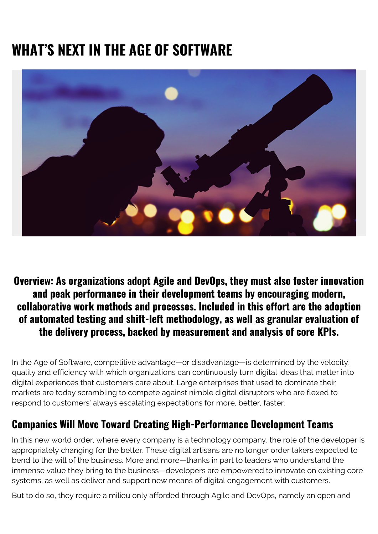# **WHAT'S NEXT IN THE AGE OF SOFTWARE**



#### **Overview: As organizations adopt Agile and DevOps, they must also foster innovation and peak performance in their development teams by encouraging modern, collaborative work methods and processes. Included in this effort are the adoption of automated testing and shift-left methodology, as well as granular evaluation of the delivery process, backed by measurement and analysis of core KPIs.**

In the Age of Software, competitive advantage—or disadvantage—is determined by the velocity, quality and efficiency with which organizations can continuously turn digital ideas that matter into digital experiences that customers care about. Large enterprises that used to dominate their markets are today scrambling to compete against nimble digital disruptors who are flexed to respond to customers' always escalating expectations for more, better, faster.

## **Companies Will Move Toward Creating High-Performance Development Teams**

In this new world order, where every company is a technology company, the role of the developer is appropriately changing for the better. These digital artisans are no longer order takers expected to bend to the will of the business. More and more—thanks in part to leaders who understand the immense value they bring to the business—developers are empowered to innovate on existing core systems, as well as deliver and support new means of digital engagement with customers.

But to do so, they require a milieu only afforded through Agile and DevOps, namely an open and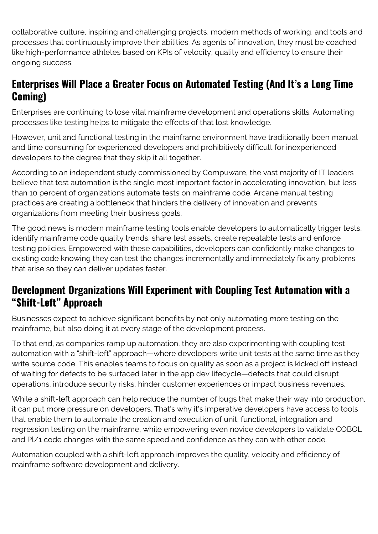collaborative culture, inspiring and challenging projects, modern methods of working, and tools and processes that continuously improve their abilities. As agents of innovation, they must be coached like high-performance athletes based on KPIs of velocity, quality and efficiency to ensure their ongoing success.

## **Enterprises Will Place a Greater Focus on Automated Testing (And It's a Long Time Coming)**

Enterprises are continuing to lose vital mainframe development and operations skills. Automating processes like testing helps to mitigate the effects of that lost knowledge.

However, unit and functional testing in the mainframe environment have traditionally been manual and time consuming for experienced developers and prohibitively difficult for inexperienced developers to the degree that they skip it all together.

According to an independent study commissioned by Compuware, the vast majority of IT leaders believe that test automation is the single most important factor in accelerating innovation, but less than 10 percent of organizations automate tests on mainframe code. Arcane manual testing practices are creating a bottleneck that hinders the delivery of innovation and prevents organizations from meeting their business goals.

The good news is modern mainframe testing tools enable developers to automatically trigger tests, identify mainframe code quality trends, share test assets, create repeatable tests and enforce testing policies. Empowered with these capabilities, developers can confidently make changes to existing code knowing they can test the changes incrementally and immediately fix any problems that arise so they can deliver updates faster.

#### **Development Organizations Will Experiment with Coupling Test Automation with a "Shift-Left" Approach**

Businesses expect to achieve significant benefits by not only automating more testing on the mainframe, but also doing it at every stage of the development process.

To that end, as companies ramp up automation, they are also experimenting with coupling test automation with a "shift-left" approach—where developers write unit tests at the same time as they write source code. This enables teams to focus on quality as soon as a project is kicked off instead of waiting for defects to be surfaced later in the app dev lifecycle—defects that could disrupt operations, introduce security risks, hinder customer experiences or impact business revenues.

While a shift-left approach can help reduce the number of bugs that make their way into production, it can put more pressure on developers. That's why it's imperative developers have access to tools that enable them to automate the creation and execution of unit, functional, integration and regression testing on the mainframe, while empowering even novice developers to validate COBOL and Pl/1 code changes with the same speed and confidence as they can with other code.

Automation coupled with a shift-left approach improves the quality, velocity and efficiency of mainframe software development and delivery.